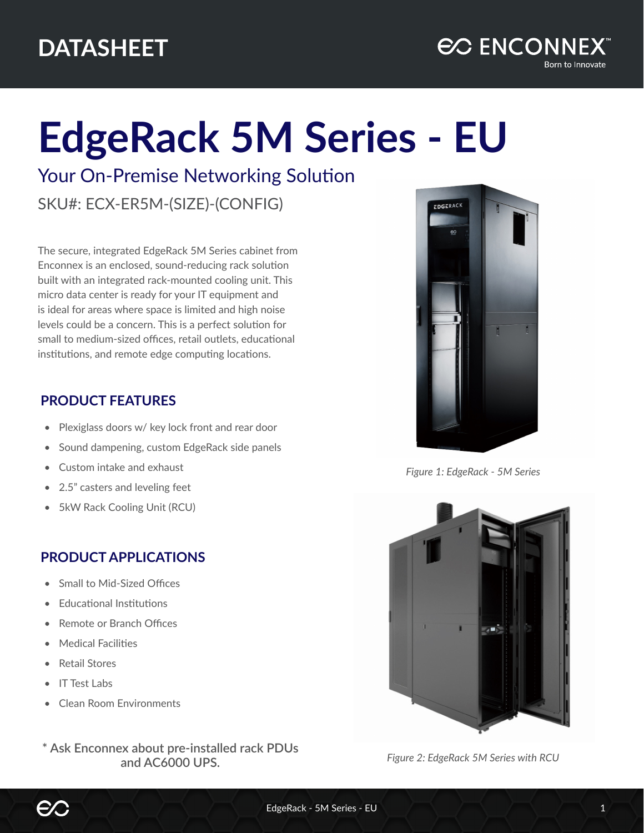# **EdgeRack 5M Series - EU**

Your On-Premise Networking Solution

SKU#: ECX-ER5M-(SIZE)-(CONFIG)

The secure, integrated EdgeRack 5M Series cabinet from Enconnex is an enclosed, sound-reducing rack solution built with an integrated rack-mounted cooling unit. This micro data center is ready for your IT equipment and is ideal for areas where space is limited and high noise levels could be a concern. This is a perfect solution for small to medium-sized offices, retail outlets, educational institutions, and remote edge computing locations.

# **PRODUCT FEATURES**

- Plexiglass doors w/ key lock front and rear door
- Sound dampening, custom EdgeRack side panels
- Custom intake and exhaust
- 2.5" casters and leveling feet
- 5kW Rack Cooling Unit (RCU)

# **PRODUCT APPLICATIONS**

- Small to Mid-Sized Offices
- Educational Institutions
- Remote or Branch Offices
- Medical Facilities
- Retail Stores
- IT Test Labs
- Clean Room Environments
- *Figure 2: EdgeRack 5M Series with RCU* **\* Ask Enconnex about pre-installed rack PDUs and AC6000 UPS.**



*Figure 1: EdgeRack - 5M Series*